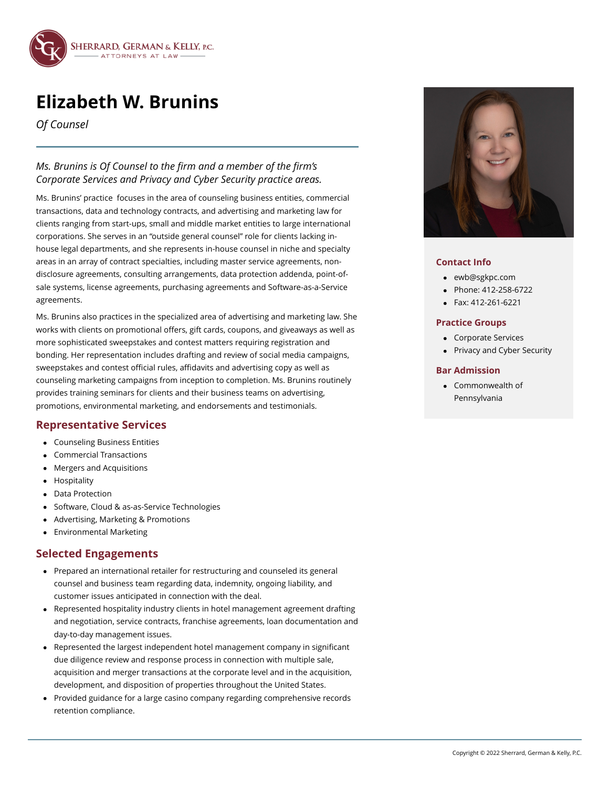

# **Elizabeth W. Brunins**

*Of Counsel*

## *Ms. Brunins is Of Counsel to the firm and a member of the firm's Corporate Services and Privacy and Cyber Security practice areas.*

Ms. Brunins' practice focuses in the area of counseling business entities, commercial transactions, data and technology contracts, and advertising and marketing law for clients ranging from start-ups, small and middle market entities to large international corporations. She serves in an "outside general counsel" role for clients lacking inhouse legal departments, and she represents in-house counsel in niche and specialty areas in an array of contract specialties, including master service agreements, nondisclosure agreements, consulting arrangements, data protection addenda, point-ofsale systems, license agreements, purchasing agreements and Software-as-a-Service agreements.

Ms. Brunins also practices in the specialized area of advertising and marketing law. She works with clients on promotional offers, gift cards, coupons, and giveaways as well as more sophisticated sweepstakes and contest matters requiring registration and bonding. Her representation includes drafting and review of social media campaigns, sweepstakes and contest official rules, affidavits and advertising copy as well as counseling marketing campaigns from inception to completion. Ms. Brunins routinely provides training seminars for clients and their business teams on advertising, promotions, environmental marketing, and endorsements and testimonials.

## **Representative Services**

- Counseling Business Entities
- Commercial Transactions  $\bullet$
- Mergers and Acquisitions
- Hospitality
- Data Protection
- Software, Cloud & as-as-Service Technologies
- Advertising, Marketing & Promotions
- Environmental Marketing

## **Selected Engagements**

- Prepared an international retailer for restructuring and counseled its general counsel and business team regarding data, indemnity, ongoing liability, and customer issues anticipated in connection with the deal.
- Represented hospitality industry clients in hotel management agreement drafting and negotiation, service contracts, franchise agreements, loan documentation and day-to-day management issues.
- Represented the largest independent hotel management company in significant  $\bullet$ due diligence review and response process in connection with multiple sale, acquisition and merger transactions at the corporate level and in the acquisition, development, and disposition of properties throughout the United States.
- Provided guidance for a large casino company regarding comprehensive records retention compliance.



### **Contact Info**

- [ewb@sgkpc.com](mailto:ewb@sgkpc.com)
- Phone: [412-258-6722](tel:+14122586722)
- Fax: 412-261-6221

### **Practice Groups**

- Corporate Services
- Privacy and Cyber Security

### **Bar Admission**

Commonwealth of Pennsylvania